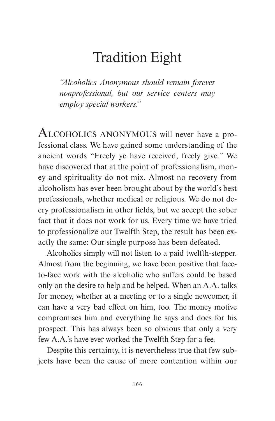## Tradition Eight

*"Alcoholics Anonymous should remain forever nonprofessional, but our service centers may employ special workers."*

ALCOHOLICS ANONYMOUS will never have a professional class. We have gained some understanding of the ancient words "Freely ye have received, freely give." We have discovered that at the point of professionalism, money and spirituality do not mix. Almost no recovery from alcoholism has ever been brought about by the world's best professionals, whether medical or religious. We do not decry professionalism in other fields, but we accept the sober fact that it does not work for us. Every time we have tried to professionalize our Twelfth Step, the result has been exactly the same: Our single purpose has been defeated.

Alcoholics simply will not listen to a paid twelfth-stepper. Almost from the beginning, we have been positive that faceto-face work with the alcoholic who suffers could be based only on the desire to help and be helped. When an A.A. talks for money, whether at a meeting or to a single newcomer, it can have a very bad effect on him, too. The money motive compromises him and everything he says and does for his prospect. This has always been so obvious that only a very few A.A.'s have ever worked the Twelfth Step for a fee.

Despite this certainty, it is nevertheless true that few subjects have been the cause of more contention within our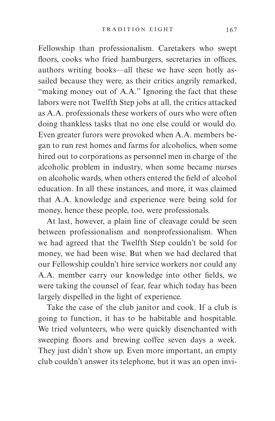Fellowship than professionalism. Caretakers who swept floors, cooks who fried hamburgers, secretaries in offices, authors writing books—all these we have seen hotly assailed because they were, as their critics angrily remarked, "making money out of A.A." Ignoring the fact that these labors were not Twelfth Step jobs at all, the critics attacked as A.A. professionals these workers of ours who were often doing thankless tasks that no one else could or would do. Even greater furors were provoked when A.A. members began to run rest homes and farms for alcoholics, when some hired out to corporations as personnel men in charge of the alcoholic problem in industry, when some became nurses on alcoholic wards, when others entered the field of alcohol education. In all these instances, and more, it was claimed that A.A. knowledge and experience were being sold for money, hence these people, too, were professionals.

At last, however, a plain line of cleavage could be seen between professionalism and nonprofessionalism. When we had agreed that the Twelfth Step couldn't be sold for money, we had been wise. But when we had declared that our Fellowship couldn't hire service workers nor could any A.A. member carry our knowledge into other fields, we were taking the counsel of fear, fear which today has been largely dispelled in the light of experience.

Take the case of the club janitor and cook. If a club is going to function, it has to be habitable and hospitable. We tried volunteers, who were quickly disenchanted with sweeping floors and brewing coffee seven days a week. They just didn't show up. Even more important, an empty club couldn't answer its telephone, but it was an open invi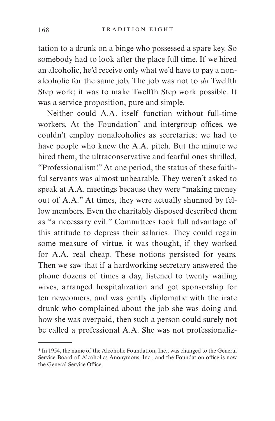tation to a drunk on a binge who possessed a spare key. So somebody had to look after the place full time. If we hired an alcoholic, he'd receive only what we'd have to pay a nonalcoholic for the same job. The job was not to *do* Twelfth Step work; it was to make Twelfth Step work possible. It was a service proposition, pure and simple.

Neither could A.A. itself function without full-time workers. At the Foundation<sup>\*</sup> and intergroup offices, we couldn't employ nonalcoholics as secretaries; we had to have people who knew the A.A. pitch. But the minute we hired them, the ultraconservative and fearful ones shrilled, "Professionalism!" At one period, the status of these faithful servants was almost unbearable. They weren't asked to speak at A.A. meetings because they were "making money out of A.A." At times, they were actually shunned by fellow members. Even the charitably disposed described them as "a necessary evil." Committees took full advantage of this attitude to depress their salaries. They could regain some measure of virtue, it was thought, if they worked for A.A. real cheap. These notions persisted for years. Then we saw that if a hardworking secretary answered the phone dozens of times a day, listened to twenty wailing wives, arranged hospitalization and got sponsorship for ten newcomers, and was gently diplomatic with the irate drunk who complained about the job she was doing and how she was overpaid, then such a person could surely not be called a professional A.A. She was not professionaliz-

<sup>\*</sup> In 1954, the name of the Alcoholic Foundation, Inc., was changed to the General Service Board of Alcoholics Anonymous, Inc., and the Foundation office is now the General Service Office.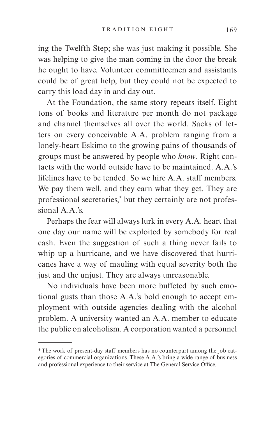ing the Twelfth Step; she was just making it possible. She was helping to give the man coming in the door the break he ought to have. Volunteer committeemen and assistants could be of great help, but they could not be expected to carry this load day in and day out.

At the Foundation, the same story repeats itself. Eight tons of books and literature per month do not package and channel themselves all over the world. Sacks of letters on every conceivable A.A. problem ranging from a lonely-heart Eskimo to the growing pains of thousands of groups must be answered by people who *know*. Right contacts with the world outside have to be maintained. A.A.'s lifelines have to be tended. So we hire A.A. staff members. We pay them well, and they earn what they get. They are professional secretaries,\* but they certainly are not professional A.A.'s.

Perhaps the fear will always lurk in every A.A. heart that one day our name will be exploited by somebody for real cash. Even the suggestion of such a thing never fails to whip up a hurricane, and we have discovered that hurricanes have a way of mauling with equal severity both the just and the unjust. They are always unreasonable.

No individuals have been more buffeted by such emotional gusts than those A.A.'s bold enough to accept employment with outside agencies dealing with the alcohol problem. A university wanted an A.A. member to educate the public on alcoholism. A corporation wanted a personnel

<sup>\*</sup> The work of present-day staff members has no counterpart among the job categories of commercial organizations. These A.A.'s bring a wide range of business and professional experience to their service at The General Service Office.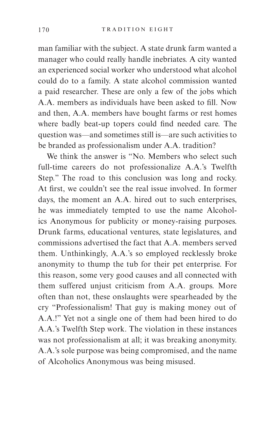man familiar with the subject. A state drunk farm wanted a manager who could really handle inebriates. A city wanted an experienced social worker who understood what alcohol could do to a family. A state alcohol commission wanted a paid researcher. These are only a few of the jobs which A.A. members as individuals have been asked to fill. Now and then, A.A. members have bought farms or rest homes where badly beat-up topers could find needed care. The question was—and sometimes still is—are such activities to be branded as professionalism under A.A. tradition?

We think the answer is "No. Members who select such full-time careers do not professionalize A.A.'s Twelfth Step." The road to this conclusion was long and rocky. At first, we couldn't see the real issue involved. In former days, the moment an A.A. hired out to such enterprises, he was immediately tempted to use the name Alcoholics Anonymous for publicity or money-raising purposes. Drunk farms, educational ventures, state legislatures, and commissions advertised the fact that A.A. members served them. Unthinkingly, A.A.'s so employed recklessly broke anonymity to thump the tub for their pet enterprise. For this reason, some very good causes and all connected with them suffered unjust criticism from A.A. groups. More often than not, these onslaughts were spearheaded by the cry "Professionalism! That guy is making money out of A.A.!" Yet not a single one of them had been hired to do A.A.'s Twelfth Step work. The violation in these instances was not professionalism at all; it was breaking anonymity. A.A.'s sole purpose was being compromised, and the name of Alcoholics Anonymous was being misused.